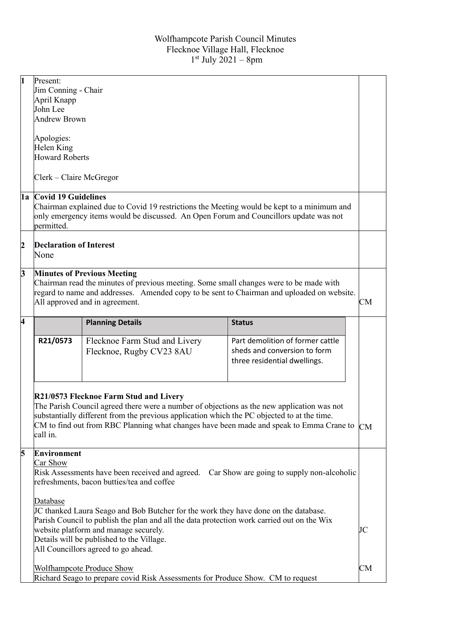| $\mathbf{1}$            | Present:<br>Jim Conning - Chair<br>April Knapp<br>John Lee<br><b>Andrew Brown</b>                                                                                                                                                                                                                                          |                                                                                                                                                                                                                                                                                      |                                                                                                  |           |
|-------------------------|----------------------------------------------------------------------------------------------------------------------------------------------------------------------------------------------------------------------------------------------------------------------------------------------------------------------------|--------------------------------------------------------------------------------------------------------------------------------------------------------------------------------------------------------------------------------------------------------------------------------------|--------------------------------------------------------------------------------------------------|-----------|
|                         | Apologies:<br>Helen King<br><b>Howard Roberts</b><br>Clerk – Claire McGregor                                                                                                                                                                                                                                               |                                                                                                                                                                                                                                                                                      |                                                                                                  |           |
|                         |                                                                                                                                                                                                                                                                                                                            |                                                                                                                                                                                                                                                                                      |                                                                                                  |           |
|                         | 1a Covid 19 Guidelines<br>Chairman explained due to Covid 19 restrictions the Meeting would be kept to a minimum and<br>only emergency items would be discussed. An Open Forum and Councillors update was not<br>permitted.                                                                                                |                                                                                                                                                                                                                                                                                      |                                                                                                  |           |
| $\overline{c}$          | <b>Declaration of Interest</b><br>None                                                                                                                                                                                                                                                                                     |                                                                                                                                                                                                                                                                                      |                                                                                                  |           |
| $\overline{\mathbf{3}}$ | <b>Minutes of Previous Meeting</b><br>Chairman read the minutes of previous meeting. Some small changes were to be made with<br>regard to name and addresses. Amended copy to be sent to Chairman and uploaded on website.<br>All approved and in agreement.                                                               |                                                                                                                                                                                                                                                                                      |                                                                                                  | СM        |
| 4                       |                                                                                                                                                                                                                                                                                                                            | <b>Planning Details</b>                                                                                                                                                                                                                                                              | <b>Status</b>                                                                                    |           |
|                         | R21/0573                                                                                                                                                                                                                                                                                                                   | Flecknoe Farm Stud and Livery<br>Flecknoe, Rugby CV23 8AU                                                                                                                                                                                                                            | Part demolition of former cattle<br>sheds and conversion to form<br>three residential dwellings. |           |
|                         | R21/0573 Flecknoe Farm Stud and Livery<br>call in.                                                                                                                                                                                                                                                                         | The Parish Council agreed there were a number of objections as the new application was not<br>substantially different from the previous application which the PC objected to at the time.<br>CM to find out from RBC Planning what changes have been made and speak to Emma Crane to | CM                                                                                               |           |
| 5                       | <b>Environment</b><br>Car Show<br>Risk Assessments have been received and agreed. Car Show are going to supply non-alcoholic<br>refreshments, bacon butties/tea and coffee                                                                                                                                                 |                                                                                                                                                                                                                                                                                      |                                                                                                  |           |
|                         | Database<br>JC thanked Laura Seago and Bob Butcher for the work they have done on the database.<br>Parish Council to publish the plan and all the data protection work carried out on the Wix<br>website platform and manage securely.<br>Details will be published to the Village.<br>All Councillors agreed to go ahead. |                                                                                                                                                                                                                                                                                      |                                                                                                  |           |
|                         |                                                                                                                                                                                                                                                                                                                            | <b>Wolfhampcote Produce Show</b><br>Richard Seago to prepare covid Risk Assessments for Produce Show. CM to request                                                                                                                                                                  |                                                                                                  | <b>CM</b> |